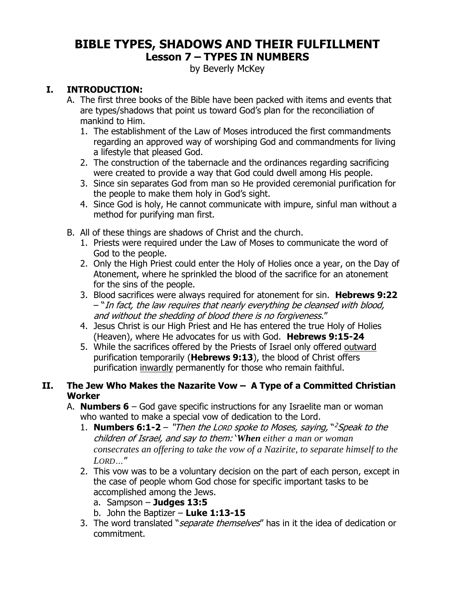# **BIBLE TYPES, SHADOWS AND THEIR FULFILLMENT Lesson 7 – TYPES IN NUMBERS**

by Beverly McKey

### **I. INTRODUCTION:**

- A. The first three books of the Bible have been packed with items and events that are types/shadows that point us toward God's plan for the reconciliation of mankind to Him.
	- 1. The establishment of the Law of Moses introduced the first commandments regarding an approved way of worshiping God and commandments for living a lifestyle that pleased God.
	- 2. The construction of the tabernacle and the ordinances regarding sacrificing were created to provide a way that God could dwell among His people.
	- 3. Since sin separates God from man so He provided ceremonial purification for the people to make them holy in God's sight.
	- 4. Since God is holy, He cannot communicate with impure, sinful man without a method for purifying man first.
- B. All of these things are shadows of Christ and the church.
	- 1. Priests were required under the Law of Moses to communicate the word of God to the people.
	- 2. Only the High Priest could enter the Holy of Holies once a year, on the Day of Atonement, where he sprinkled the blood of the sacrifice for an atonement for the sins of the people.
	- 3. Blood sacrifices were always required for atonement for sin. **Hebrews 9:22**  – "In fact, the law requires that nearly everything be cleansed with blood, and without the shedding of blood there is no forgiveness."
	- 4. Jesus Christ is our High Priest and He has entered the true Holy of Holies (Heaven), where He advocates for us with God. **Hebrews 9:15-24**
	- 5. While the sacrifices offered by the Priests of Israel only offered outward purification temporarily (**Hebrews 9:13**), the blood of Christ offers purification inwardly permanently for those who remain faithful.

#### **II. The Jew Who Makes the Nazarite Vow – A Type of a Committed Christian Worker**

- A. **Numbers 6** God gave specific instructions for any Israelite man or woman who wanted to make a special vow of dedication to the Lord.
	- 1. **Numbers 6:1-2**  "Then the LORD spoke to Moses, saying, " <sup>2</sup>Speak to the children of Israel, and say to them: '*When either a man or woman consecrates an offering to take the vow of a Nazirite, to separate himself to the LORD…*"
	- 2. This vow was to be a voluntary decision on the part of each person, except in the case of people whom God chose for specific important tasks to be accomplished among the Jews.
		- a. Sampson **Judges 13:5**
		- b. John the Baptizer **Luke 1:13-15**
	- 3. The word translated "*separate themselves*" has in it the idea of dedication or commitment.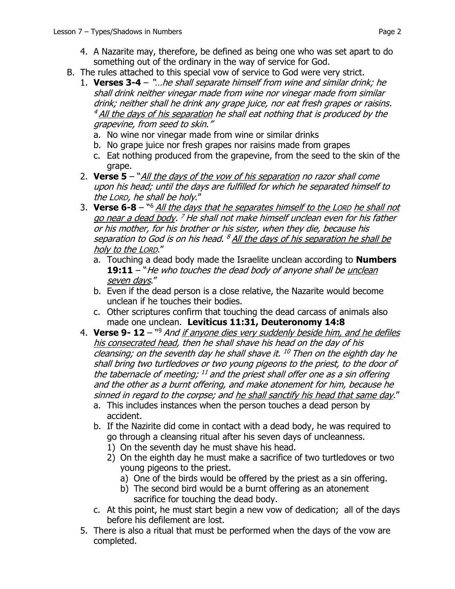- 4. A Nazarite may, therefore, be defined as being one who was set apart to do something out of the ordinary in the way of service for God.
- B. The rules attached to this special vow of service to God were very strict.
	- 1. **Verses 3-4** "…he shall separate himself from wine and similar drink; he shall drink neither vinegar made from wine nor vinegar made from similar drink; neither shall he drink any grape juice, nor eat fresh grapes or raisins. <sup>4</sup> All the days of his separation he shall eat nothing that is produced by the grapevine, from seed to skin."
		- a. No wine nor vinegar made from wine or similar drinks
		- b. No grape juice nor fresh grapes nor raisins made from grapes
		- c. Eat nothing produced from the grapevine, from the seed to the skin of the grape.
	- 2. **Verse 5**  "All the days of the vow of his separation no razor shall come upon his head; until the days are fulfilled for which he separated himself to the LORD, he shall be holy."
	- 3. **Verse 6-8**  " <sup>6</sup> All the days that he separates himself to the LORD he shall not go near a dead body. <sup>7</sup> He shall not make himself unclean even for his father or his mother, for his brother or his sister, when they die, because his separation to God is on his head. <sup>8</sup> All the days of his separation he shall be holy to the LORD."
		- a. Touching a dead body made the Israelite unclean according to **Numbers**  19:11 – "He who touches the dead body of anyone shall be unclean seven days."
		- b. Even if the dead person is a close relative, the Nazarite would become unclean if he touches their bodies.
		- c. Other scriptures confirm that touching the dead carcass of animals also made one unclean. **Leviticus 11:31, Deuteronomy 14:8**
	- 4. **Verse 9- 12**  " <sup>9</sup> And if anyone dies very suddenly beside him, and he defiles his consecrated head, then he shall shave his head on the day of his cleansing; on the seventh day he shall shave it. <sup>10</sup> Then on the eighth day he shall bring two turtledoves or two young pigeons to the priest, to the door of the tabernacle of meeting; <sup>11</sup> and the priest shall offer one as a sin offering and the other as a burnt offering, and make atonement for him, because he sinned in regard to the corpse; and he shall sanctify his head that same day."
		- a. This includes instances when the person touches a dead person by accident.
		- b. If the Nazirite did come in contact with a dead body, he was required to go through a cleansing ritual after his seven days of uncleanness.
			- 1) On the seventh day he must shave his head.
			- 2) On the eighth day he must make a sacrifice of two turtledoves or two young pigeons to the priest.
				- a) One of the birds would be offered by the priest as a sin offering.
				- b) The second bird would be a burnt offering as an atonement sacrifice for touching the dead body.
		- c. At this point, he must start begin a new vow of dedication; all of the days before his defilement are lost.
	- 5. There is also a ritual that must be performed when the days of the vow are completed.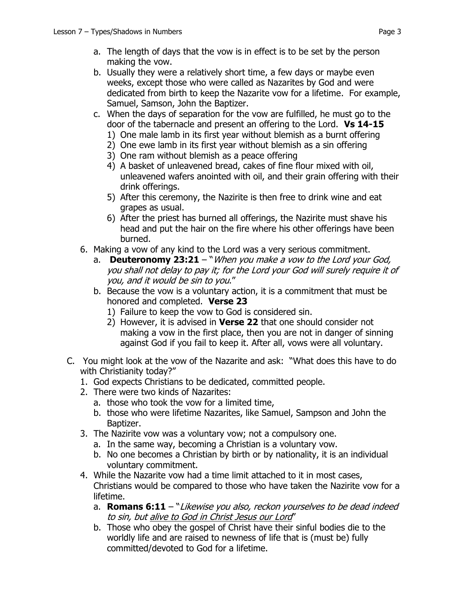- a. The length of days that the vow is in effect is to be set by the person making the vow.
- b. Usually they were a relatively short time, a few days or maybe even weeks, except those who were called as Nazarites by God and were dedicated from birth to keep the Nazarite vow for a lifetime. For example, Samuel, Samson, John the Baptizer.
- c. When the days of separation for the vow are fulfilled, he must go to the door of the tabernacle and present an offering to the Lord. **Vs 14-15**
	- 1) One male lamb in its first year without blemish as a burnt offering
	- 2) One ewe lamb in its first year without blemish as a sin offering
	- 3) One ram without blemish as a peace offering
	- 4) A basket of unleavened bread, cakes of fine flour mixed with oil, unleavened wafers anointed with oil, and their grain offering with their drink offerings.
	- 5) After this ceremony, the Nazirite is then free to drink wine and eat grapes as usual.
	- 6) After the priest has burned all offerings, the Nazirite must shave his head and put the hair on the fire where his other offerings have been burned.
- 6. Making a vow of any kind to the Lord was a very serious commitment.
	- a. **Deuteronomy 23:21**  "When you make a vow to the Lord your God, you shall not delay to pay it; for the Lord your God will surely require it of you, and it would be sin to you."
	- b. Because the vow is a voluntary action, it is a commitment that must be honored and completed. **Verse 23**
		- 1) Failure to keep the vow to God is considered sin.
		- 2) However, it is advised in **Verse 22** that one should consider not making a vow in the first place, then you are not in danger of sinning against God if you fail to keep it. After all, vows were all voluntary.
- C. You might look at the vow of the Nazarite and ask: "What does this have to do with Christianity today?"
	- 1. God expects Christians to be dedicated, committed people.
	- 2. There were two kinds of Nazarites:
		- a. those who took the vow for a limited time,
		- b. those who were lifetime Nazarites, like Samuel, Sampson and John the Baptizer.
	- 3. The Nazirite vow was a voluntary vow; not a compulsory one.
		- a. In the same way, becoming a Christian is a voluntary vow.
		- b. No one becomes a Christian by birth or by nationality, it is an individual voluntary commitment.
	- 4. While the Nazarite vow had a time limit attached to it in most cases, Christians would be compared to those who have taken the Nazirite vow for a lifetime.
		- a. **Romans 6:11**  "Likewise you also, reckon yourselves to be dead indeed to sin, but alive to God in Christ Jesus our Lord"
		- b. Those who obey the gospel of Christ have their sinful bodies die to the worldly life and are raised to newness of life that is (must be) fully committed/devoted to God for a lifetime.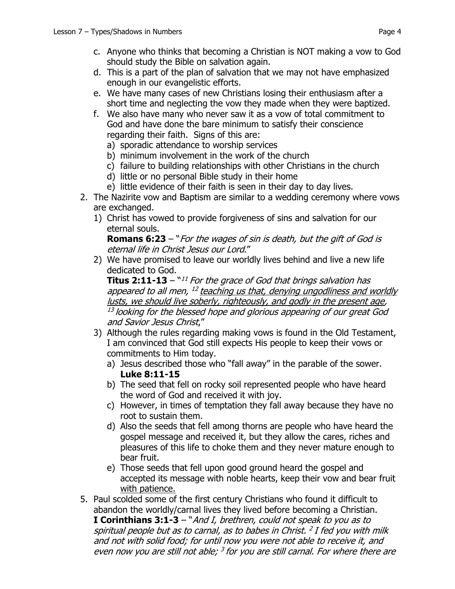- d. This is a part of the plan of salvation that we may not have emphasized enough in our evangelistic efforts.
- e. We have many cases of new Christians losing their enthusiasm after a short time and neglecting the vow they made when they were baptized.
- f. We also have many who never saw it as a vow of total commitment to God and have done the bare minimum to satisfy their conscience regarding their faith. Signs of this are:
	- a) sporadic attendance to worship services
	- b) minimum involvement in the work of the church
	- c) failure to building relationships with other Christians in the church
	- d) little or no personal Bible study in their home
	- e) little evidence of their faith is seen in their day to day lives.
- 2. The Nazirite vow and Baptism are similar to a wedding ceremony where vows are exchanged.
	- 1) Christ has vowed to provide forgiveness of sins and salvation for our eternal souls.

**Romans 6:23** – "For the wages of sin is death, but the gift of God is eternal life in Christ Jesus our Lord."

2) We have promised to leave our worldly lives behind and live a new life dedicated to God.

**Titus 2:11-13** – `*`<sup>11</sup> For the grace of God that brings salvation has* appeared to all men, <sup>12</sup> teaching us that, denying ungodliness and worldly lusts, we should live soberly, righteously, and godly in the present age, 13 looking for the blessed hope and glorious appearing of our great God and Savior Jesus Christ,"

- 3) Although the rules regarding making vows is found in the Old Testament, I am convinced that God still expects His people to keep their vows or commitments to Him today.
	- a) Jesus described those who "fall away" in the parable of the sower. **Luke 8:11-15**
	- b) The seed that fell on rocky soil represented people who have heard the word of God and received it with joy.
	- c) However, in times of temptation they fall away because they have no root to sustain them.
	- d) Also the seeds that fell among thorns are people who have heard the gospel message and received it, but they allow the cares, riches and pleasures of this life to choke them and they never mature enough to bear fruit.
	- e) Those seeds that fell upon good ground heard the gospel and accepted its message with noble hearts, keep their vow and bear fruit with patience.
- 5. Paul scolded some of the first century Christians who found it difficult to abandon the worldly/carnal lives they lived before becoming a Christian. **I Corinthians 3:1-3** – "And I, brethren, could not speak to you as to spiritual people but as to carnal, as to babes in Christ. 2 I fed you with milk and not with solid food; for until now you were not able to receive it, and even now you are still not able; <sup>3</sup> for you are still carnal. For where there are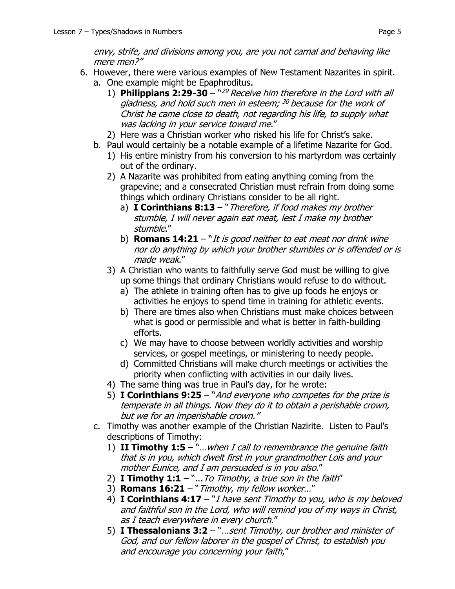envy, strife, and divisions among you, are you not carnal and behaving like mere men?"

- 6. However, there were various examples of New Testament Nazarites in spirit. a. One example might be Epaphroditus.
	- 1) **Philippians 2:29-30** " <sup>29</sup> Receive him therefore in the Lord with all gladness, and hold such men in esteem; <sup>30</sup> because for the work of Christ he came close to death, not regarding his life, to supply what was lacking in your service toward me."
	- 2) Here was a Christian worker who risked his life for Christ's sake.
	- b. Paul would certainly be a notable example of a lifetime Nazarite for God.
		- 1) His entire ministry from his conversion to his martyrdom was certainly out of the ordinary.
		- 2) A Nazarite was prohibited from eating anything coming from the grapevine; and a consecrated Christian must refrain from doing some things which ordinary Christians consider to be all right.
			- a) **I Corinthians 8:13**  "Therefore, if food makes my brother stumble, I will never again eat meat, lest I make my brother stumble."
			- b) **Romans 14:21**  "It is good neither to eat meat nor drink wine nor do anything by which your brother stumbles or is offended or is made weak."
		- 3) A Christian who wants to faithfully serve God must be willing to give up some things that ordinary Christians would refuse to do without.
			- a) The athlete in training often has to give up foods he enjoys or activities he enjoys to spend time in training for athletic events.
			- b) There are times also when Christians must make choices between what is good or permissible and what is better in faith-building efforts.
			- c) We may have to choose between worldly activities and worship services, or gospel meetings, or ministering to needy people.
			- d) Committed Christians will make church meetings or activities the priority when conflicting with activities in our daily lives.
		- 4) The same thing was true in Paul's day, for he wrote:
		- 5) **I Corinthians 9:25**  "And everyone who competes for the prize is temperate in all things. Now they do it to obtain a perishable crown, but we for an imperishable crown."
	- c. Timothy was another example of the Christian Nazirite. Listen to Paul's descriptions of Timothy:
		- 1) **II Timothy 1:5**  "…when I call to remembrance the genuine faith that is in you, which dwelt first in your grandmother Lois and your mother Eunice, and I am persuaded is in you also."
		- 2) **I Timothy 1:1** "... To Timothy, a true son in the faith"
		- 3) **Romans 16:21**  "Timothy, my fellow worker…"
		- 4) **I Corinthians 4:17** "I have sent Timothy to you, who is my beloved and faithful son in the Lord, who will remind you of my ways in Christ, as I teach everywhere in every church."
		- 5) **I Thessalonians 3:2**  "…sent Timothy, our brother and minister of God, and our fellow laborer in the gospel of Christ, to establish you and encourage you concerning your faith,"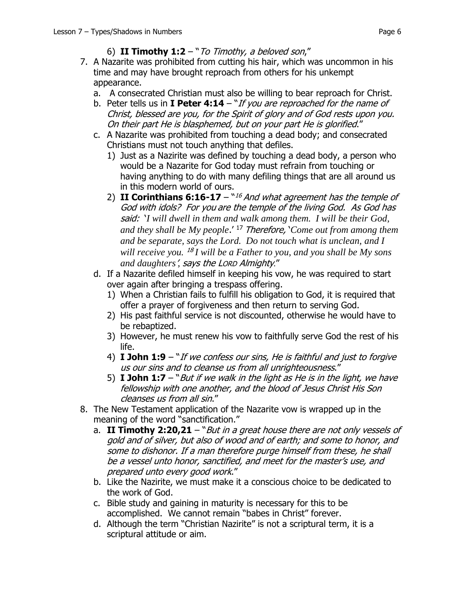- 7. A Nazarite was prohibited from cutting his hair, which was uncommon in his time and may have brought reproach from others for his unkempt appearance.
	- a. A consecrated Christian must also be willing to bear reproach for Christ.
	- b. Peter tells us in **I Peter 4:14** "If you are reproached for the name of Christ, blessed are you, for the Spirit of glory and of God rests upon you. On their part He is blasphemed, but on your part He is glorified."
	- c. A Nazarite was prohibited from touching a dead body; and consecrated Christians must not touch anything that defiles.
		- 1) Just as a Nazirite was defined by touching a dead body, a person who would be a Nazarite for God today must refrain from touching or having anything to do with many defiling things that are all around us in this modern world of ours.
		- 2) II Corinthians 6:16-17 ``<sup>16</sup> And what agreement has the temple of God with idols? For you are the temple of the living God. As God has said: '*I will dwell in them and walk among them. I will be their God, and they shall be My people*.' <sup>17</sup> Therefore, '*Come out from among them and be separate, says the Lord. Do not touch what is unclean, and I*  will receive you. <sup>18</sup>I will be a Father to you, and you shall be My sons *and daughters*'*,* says the LORD Almighty."
	- d. If a Nazarite defiled himself in keeping his vow, he was required to start over again after bringing a trespass offering.
		- 1) When a Christian fails to fulfill his obligation to God, it is required that offer a prayer of forgiveness and then return to serving God.
		- 2) His past faithful service is not discounted, otherwise he would have to be rebaptized.
		- 3) However, he must renew his vow to faithfully serve God the rest of his life.
		- 4) **I John 1:9** "If we confess our sins, He is faithful and just to forgive us our sins and to cleanse us from all unrighteousness."
		- 5) **I John 1:7**  "But if we walk in the light as He is in the light, we have fellowship with one another, and the blood of Jesus Christ His Son cleanses us from all sin."
- 8. The New Testament application of the Nazarite vow is wrapped up in the meaning of the word "sanctification."
	- a. **II Timothy 2:20,21** "But in a great house there are not only vessels of gold and of silver, but also of wood and of earth; and some to honor, and some to dishonor. If a man therefore purge himself from these, he shall be a vessel unto honor, sanctified, and meet for the master's use, and prepared unto every good work."
	- b. Like the Nazirite, we must make it a conscious choice to be dedicated to the work of God.
	- c. Bible study and gaining in maturity is necessary for this to be accomplished. We cannot remain "babes in Christ" forever.
	- d. Although the term "Christian Nazirite" is not a scriptural term, it is a scriptural attitude or aim.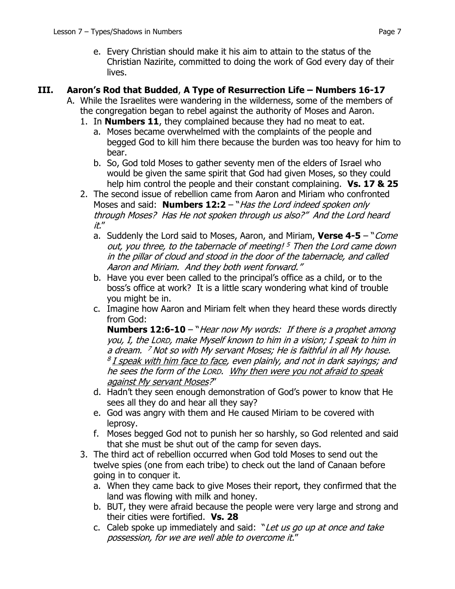e. Every Christian should make it his aim to attain to the status of the Christian Nazirite, committed to doing the work of God every day of their lives.

### **III. Aaron's Rod that Budded**, **A Type of Resurrection Life – Numbers 16-17**

- A. While the Israelites were wandering in the wilderness, some of the members of the congregation began to rebel against the authority of Moses and Aaron.
	- 1. In **Numbers 11**, they complained because they had no meat to eat.
		- a. Moses became overwhelmed with the complaints of the people and begged God to kill him there because the burden was too heavy for him to bear.
		- b. So, God told Moses to gather seventy men of the elders of Israel who would be given the same spirit that God had given Moses, so they could help him control the people and their constant complaining. **Vs. 17 & 25**
	- 2. The second issue of rebellion came from Aaron and Miriam who confronted Moses and said: **Numbers 12:2** – "*Has the Lord indeed spoken only* through Moses? Has He not spoken through us also?" And the Lord heard it."
		- a. Suddenly the Lord said to Moses, Aaron, and Miriam, **Verse 4-5** "Come out, you three, to the tabernacle of meeting! <sup>5</sup> Then the Lord came down in the pillar of cloud and stood in the door of the tabernacle, and called Aaron and Miriam. And they both went forward."
		- b. Have you ever been called to the principal's office as a child, or to the boss's office at work? It is a little scary wondering what kind of trouble you might be in.
		- c. Imagine how Aaron and Miriam felt when they heard these words directly from God:

**Numbers 12:6-10** – "Hear now My words: If there is a prophet among you, I, the LORD, make Myself known to him in a vision; I speak to him in a dream. <sup>7</sup> Not so with My servant Moses; He is faithful in all My house. <sup>8</sup> I speak with him face to face, even plainly, and not in dark sayings; and he sees the form of the LORD. Why then were you not afraid to speak against My servant Moses?"

- d. Hadn't they seen enough demonstration of God's power to know that He sees all they do and hear all they say?
- e. God was angry with them and He caused Miriam to be covered with leprosy.
- f. Moses begged God not to punish her so harshly, so God relented and said that she must be shut out of the camp for seven days.
- 3. The third act of rebellion occurred when God told Moses to send out the twelve spies (one from each tribe) to check out the land of Canaan before going in to conquer it.
	- a. When they came back to give Moses their report, they confirmed that the land was flowing with milk and honey.
	- b. BUT, they were afraid because the people were very large and strong and their cities were fortified. **Vs. 28**
	- c. Caleb spoke up immediately and said: "Let us go up at once and take possession, for we are well able to overcome it."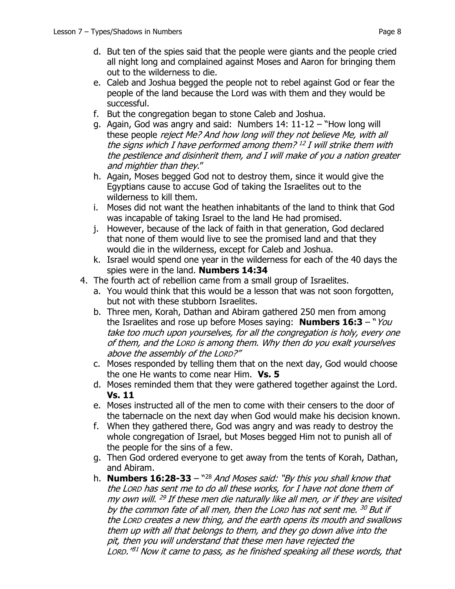- d. But ten of the spies said that the people were giants and the people cried all night long and complained against Moses and Aaron for bringing them out to the wilderness to die.
- e. Caleb and Joshua begged the people not to rebel against God or fear the people of the land because the Lord was with them and they would be successful.
- f. But the congregation began to stone Caleb and Joshua.
- g. Again, God was angry and said: Numbers 14: 11-12 "How long will these people reject Me? And how long will they not believe Me, with all the signs which I have performed among them? 12 I will strike them with the pestilence and disinherit them, and I will make of you a nation greater and mightier than they."
- h. Again, Moses begged God not to destroy them, since it would give the Egyptians cause to accuse God of taking the Israelites out to the wilderness to kill them.
- i. Moses did not want the heathen inhabitants of the land to think that God was incapable of taking Israel to the land He had promised.
- j. However, because of the lack of faith in that generation, God declared that none of them would live to see the promised land and that they would die in the wilderness, except for Caleb and Joshua.
- k. Israel would spend one year in the wilderness for each of the 40 days the spies were in the land. **Numbers 14:34**
- 4. The fourth act of rebellion came from a small group of Israelites.
	- a. You would think that this would be a lesson that was not soon forgotten, but not with these stubborn Israelites.
	- b. Three men, Korah, Dathan and Abiram gathered 250 men from among the Israelites and rose up before Moses saying: **Numbers 16:3** – "You take too much upon yourselves, for all the congregation is holy, every one of them, and the LORD is among them. Why then do you exalt yourselves above the assembly of the LORD?"
	- c. Moses responded by telling them that on the next day, God would choose the one He wants to come near Him. **Vs. 5**
	- d. Moses reminded them that they were gathered together against the Lord. **Vs. 11**
	- e. Moses instructed all of the men to come with their censers to the door of the tabernacle on the next day when God would make his decision known.
	- f. When they gathered there, God was angry and was ready to destroy the whole congregation of Israel, but Moses begged Him not to punish all of the people for the sins of a few.
	- g. Then God ordered everyone to get away from the tents of Korah, Dathan, and Abiram.
	- h. **Numbers 16:28-33** " <sup>28</sup> And Moses said: "By this you shall know that the LORD has sent me to do all these works, for I have not done them of my own will. <sup>29</sup> If these men die naturally like all men, or if they are visited by the common fate of all men, then the Lorp has not sent me. <sup>30</sup> But if the LORD creates a new thing, and the earth opens its mouth and swallows them up with all that belongs to them, and they go down alive into the pit, then you will understand that these men have rejected the LORD." <sup>31</sup> Now it came to pass, as he finished speaking all these words, that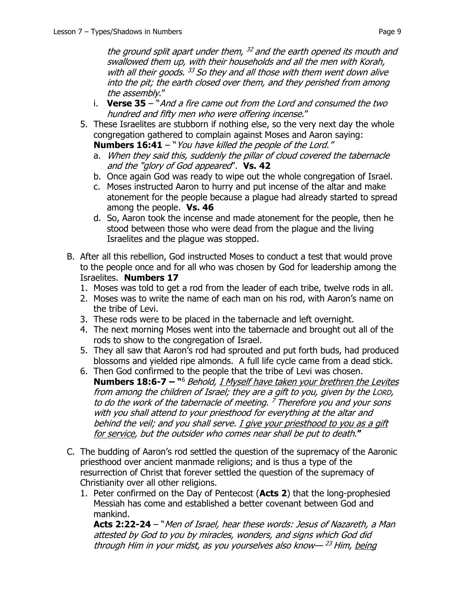the ground split apart under them, <sup>32</sup> and the earth opened its mouth and swallowed them up, with their households and all the men with Korah, with all their goods. <sup>33</sup> So they and all those with them went down alive into the pit; the earth closed over them, and they perished from among the assembly."

- i. **Verse 35**  "And a fire came out from the Lord and consumed the two hundred and fifty men who were offering incense."
- 5. These Israelites are stubborn if nothing else, so the very next day the whole congregation gathered to complain against Moses and Aaron saying: **Numbers 16:41** – "You have killed the people of the Lord."
	- a. When they said this, suddenly the pillar of cloud covered the tabernacle and the "glory of God appeared". **Vs. 42**
	- b. Once again God was ready to wipe out the whole congregation of Israel.
	- c. Moses instructed Aaron to hurry and put incense of the altar and make atonement for the people because a plague had already started to spread among the people. **Vs. 46**
	- d. So, Aaron took the incense and made atonement for the people, then he stood between those who were dead from the plague and the living Israelites and the plague was stopped.
- B. After all this rebellion, God instructed Moses to conduct a test that would prove to the people once and for all who was chosen by God for leadership among the Israelites. **Numbers 17**
	- 1. Moses was told to get a rod from the leader of each tribe, twelve rods in all.
	- 2. Moses was to write the name of each man on his rod, with Aaron's name on the tribe of Levi.
	- 3. These rods were to be placed in the tabernacle and left overnight.
	- 4. The next morning Moses went into the tabernacle and brought out all of the rods to show to the congregation of Israel.
	- 5. They all saw that Aaron's rod had sprouted and put forth buds, had produced blossoms and yielded ripe almonds. A full life cycle came from a dead stick.
	- 6. Then God confirmed to the people that the tribe of Levi was chosen. **Numbers 18:6-7 – "**<sup>6</sup> Behold, <u>I Myself have taken your brethren the Levites</u> from among the children of Israel; they are a gift to you, given by the LORD, to do the work of the tabernacle of meeting. <sup>7</sup> Therefore you and your sons with you shall attend to your priesthood for everything at the altar and behind the veil; and you shall serve. I give your priesthood to you as a gift for service, but the outsider who comes near shall be put to death.**"**
- C. The budding of Aaron's rod settled the question of the supremacy of the Aaronic priesthood over ancient manmade religions; and is thus a type of the resurrection of Christ that forever settled the question of the supremacy of Christianity over all other religions.
	- 1. Peter confirmed on the Day of Pentecost (**Acts 2**) that the long-prophesied Messiah has come and established a better covenant between God and mankind.

**Acts 2:22-24** – "Men of Israel, hear these words: Jesus of Nazareth, a Man attested by God to you by miracles, wonders, and signs which God did through Him in your midst, as you yourselves also know— <sup>23</sup> Him, being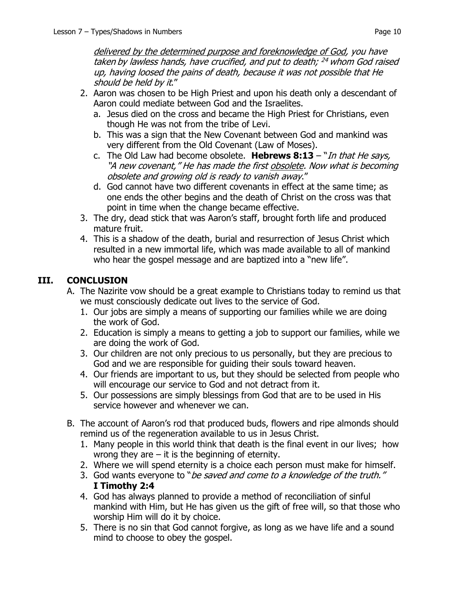delivered by the determined purpose and foreknowledge of God, you have taken by lawless hands, have crucified, and put to death; <sup>24</sup> whom God raised up, having loosed the pains of death, because it was not possible that He should be held by it."

- 2. Aaron was chosen to be High Priest and upon his death only a descendant of Aaron could mediate between God and the Israelites.
	- a. Jesus died on the cross and became the High Priest for Christians, even though He was not from the tribe of Levi.
	- b. This was a sign that the New Covenant between God and mankind was very different from the Old Covenant (Law of Moses).
	- c. The Old Law had become obsolete. **Hebrews 8:13**  "In that He says, "A new covenant," He has made the first obsolete. Now what is becoming obsolete and growing old is ready to vanish away."
	- d. God cannot have two different covenants in effect at the same time; as one ends the other begins and the death of Christ on the cross was that point in time when the change became effective.
- 3. The dry, dead stick that was Aaron's staff, brought forth life and produced mature fruit.
- 4. This is a shadow of the death, burial and resurrection of Jesus Christ which resulted in a new immortal life, which was made available to all of mankind who hear the gospel message and are baptized into a "new life".

## **III. CONCLUSION**

- A. The Nazirite vow should be a great example to Christians today to remind us that we must consciously dedicate out lives to the service of God.
	- 1. Our jobs are simply a means of supporting our families while we are doing the work of God.
	- 2. Education is simply a means to getting a job to support our families, while we are doing the work of God.
	- 3. Our children are not only precious to us personally, but they are precious to God and we are responsible for guiding their souls toward heaven.
	- 4. Our friends are important to us, but they should be selected from people who will encourage our service to God and not detract from it.
	- 5. Our possessions are simply blessings from God that are to be used in His service however and whenever we can.
- B. The account of Aaron's rod that produced buds, flowers and ripe almonds should remind us of the regeneration available to us in Jesus Christ.
	- 1. Many people in this world think that death is the final event in our lives; how wrong they are  $-$  it is the beginning of eternity.
	- 2. Where we will spend eternity is a choice each person must make for himself.
	- 3. God wants everyone to "be saved and come to a knowledge of the truth." **I Timothy 2:4**
	- 4. God has always planned to provide a method of reconciliation of sinful mankind with Him, but He has given us the gift of free will, so that those who worship Him will do it by choice.
	- 5. There is no sin that God cannot forgive, as long as we have life and a sound mind to choose to obey the gospel.